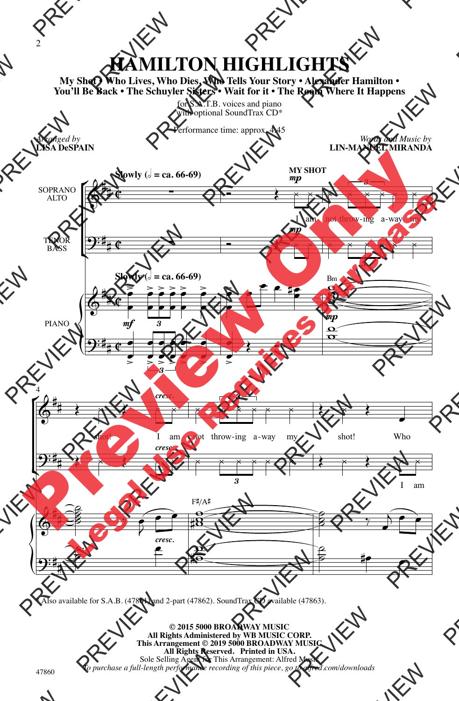## **HAMILTON HIGHLIGHTS**

**My Shot • Who Lives, Who Dies, Who Tells Your Story • Alexander Hamilton • You'll Be Back • The Schuyler Sisters • Wait for it • The Room Where It Happens**

for S.A.T.B. voices and piano with optional SoundTrax CD\*

Performance time: approx. 4:45

*Words and Music by*

*Arranged by* **LISA DeSPAIN**



\* Also available for S.A.B. (47861) and 2-part (47862). SoundTrax CD available (47863).

**© 2015 5000 BROADWAY MUSIC All Rights Administered by WB MUSIC CORP. This Arrangement © 2019 5000 BROADWAY MUSIC All Rights Reserved. Printed in USA.** Sole Selling Agent for This Arrangement: Alfred Music *To purchase a full-length performance recording of this piece, go to alfred.com/downloads*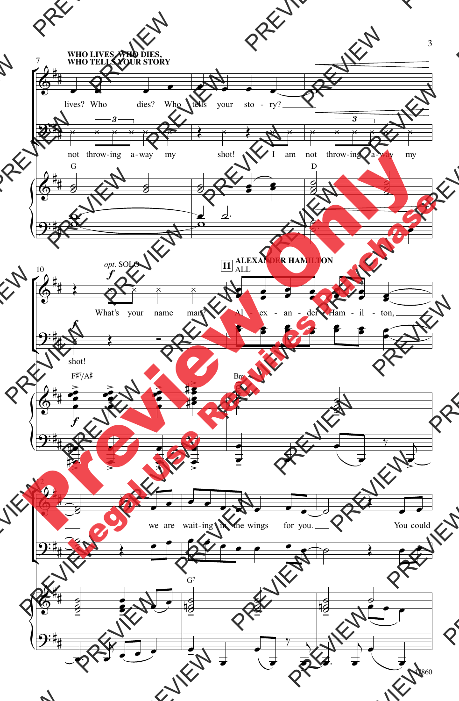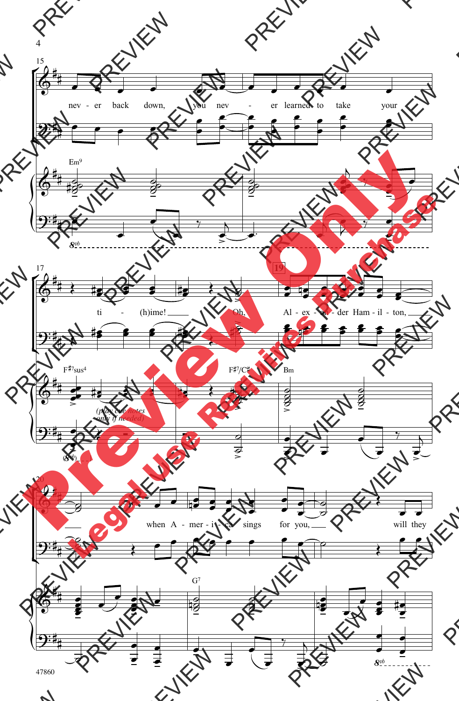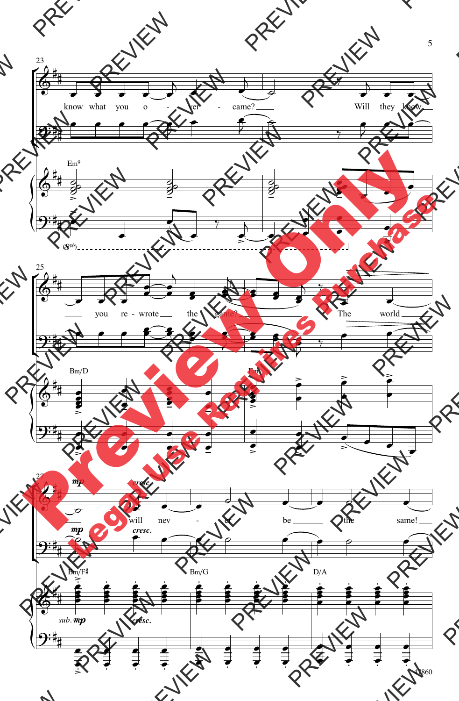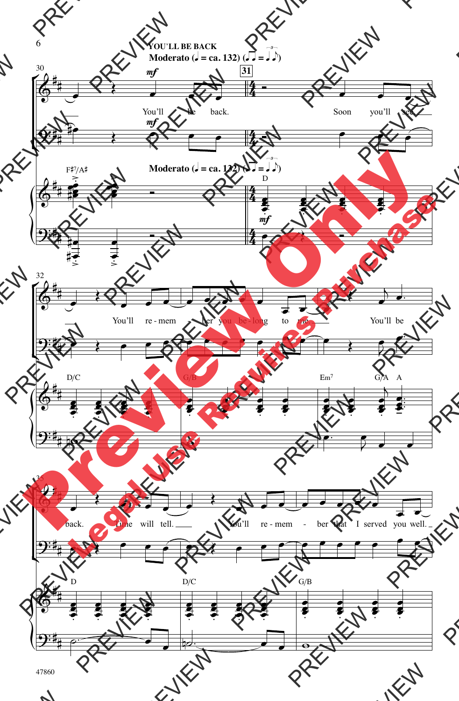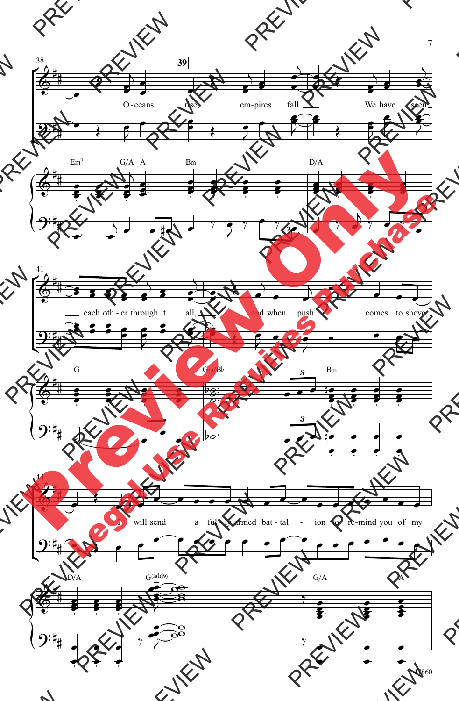

<sup>7</sup>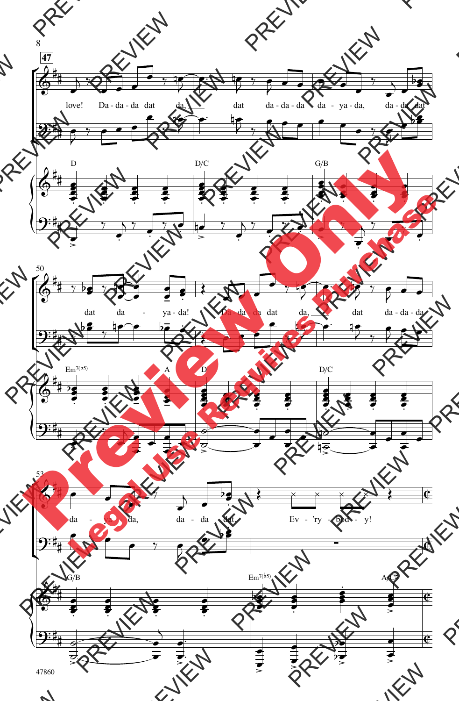

<sup>47860</sup>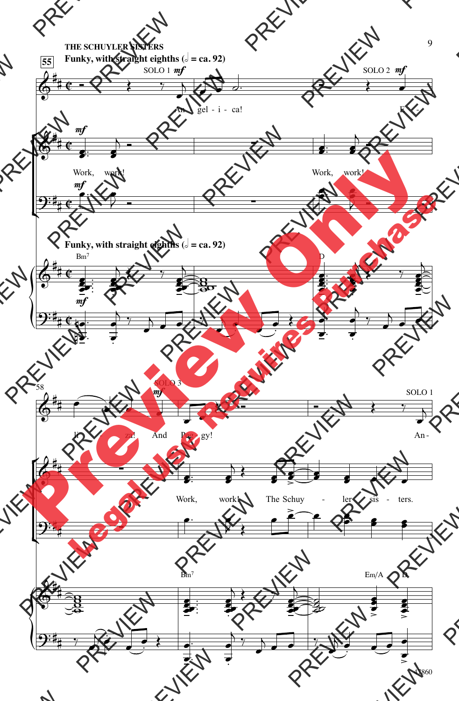

<sup>47860</sup>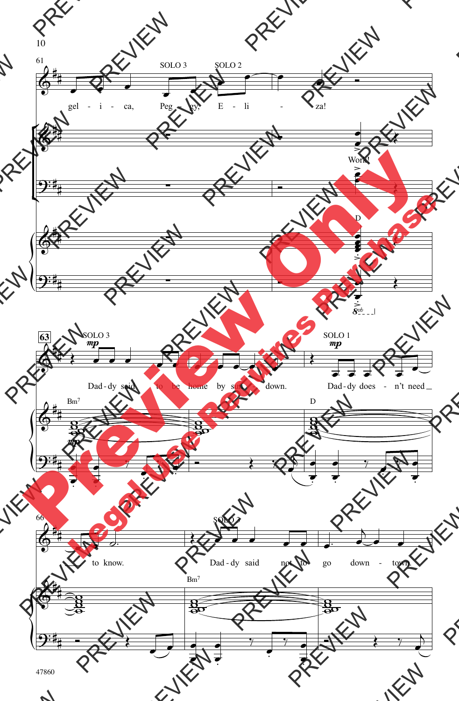![](_page_8_Figure_0.jpeg)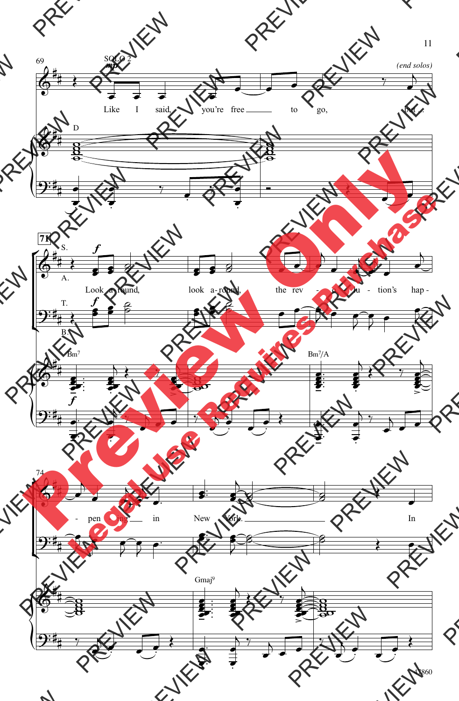![](_page_9_Figure_0.jpeg)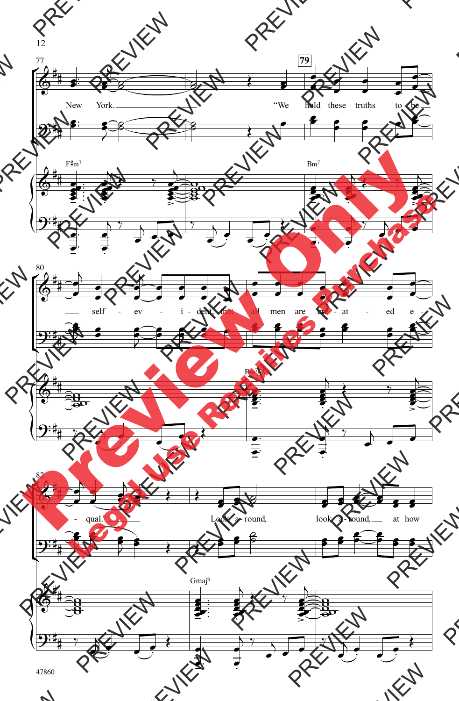![](_page_10_Figure_0.jpeg)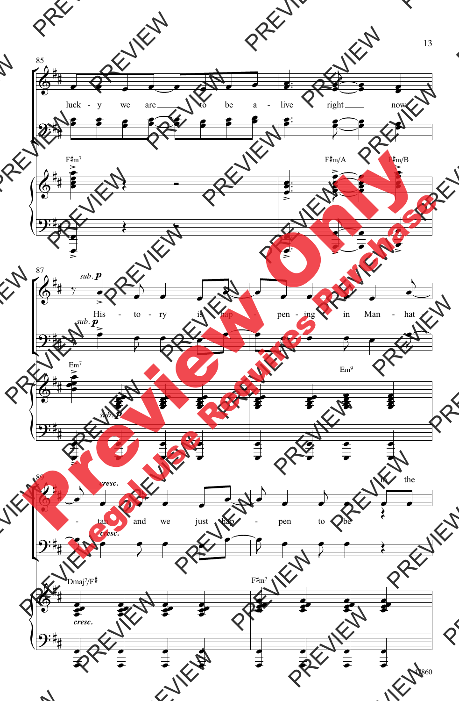![](_page_11_Figure_0.jpeg)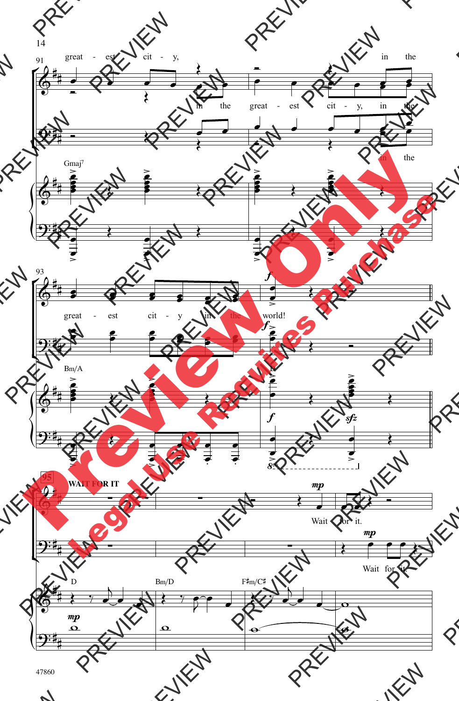![](_page_12_Figure_0.jpeg)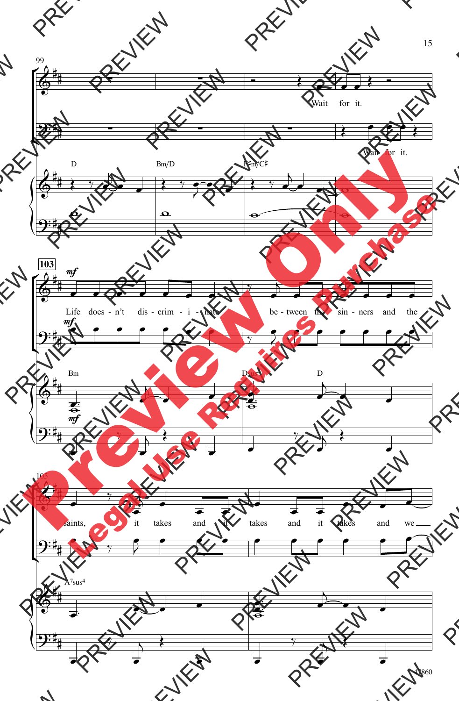![](_page_13_Figure_0.jpeg)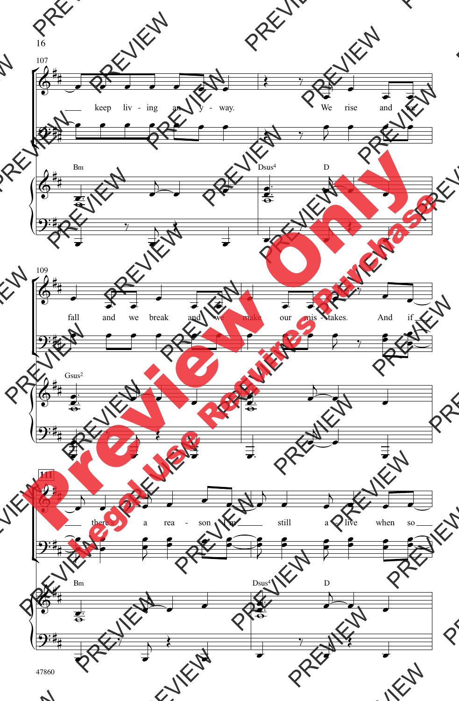![](_page_14_Figure_0.jpeg)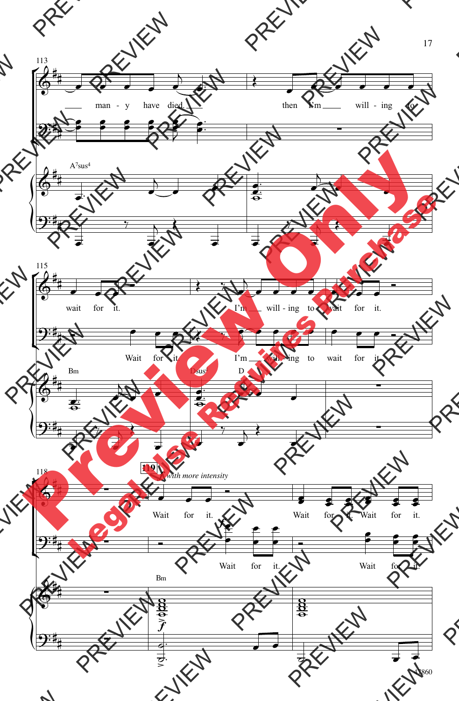![](_page_15_Figure_0.jpeg)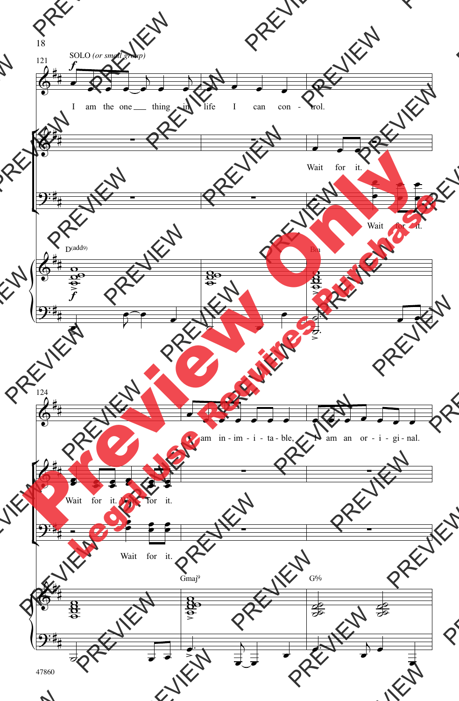![](_page_16_Figure_0.jpeg)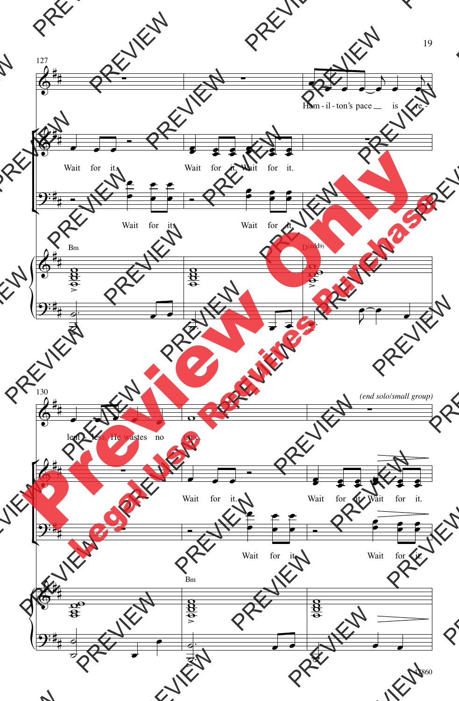![](_page_17_Figure_0.jpeg)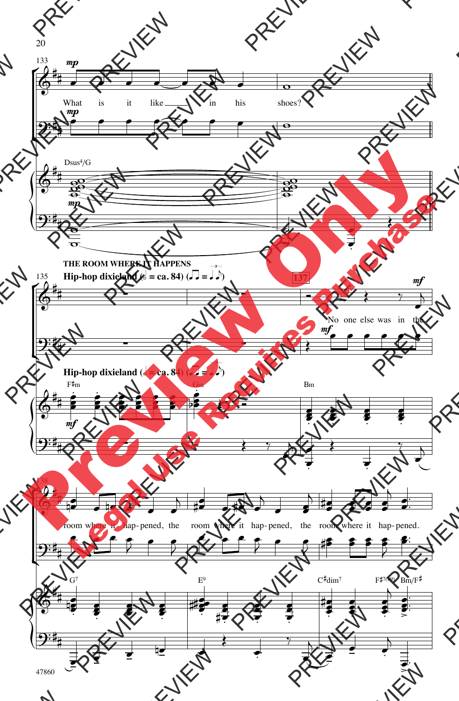![](_page_18_Figure_0.jpeg)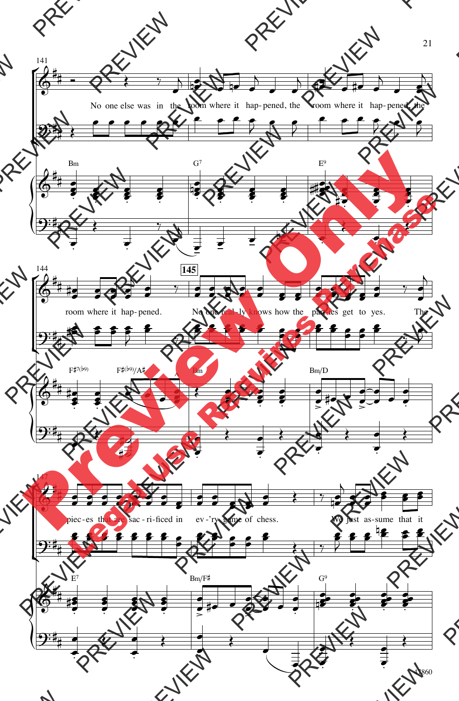![](_page_19_Figure_0.jpeg)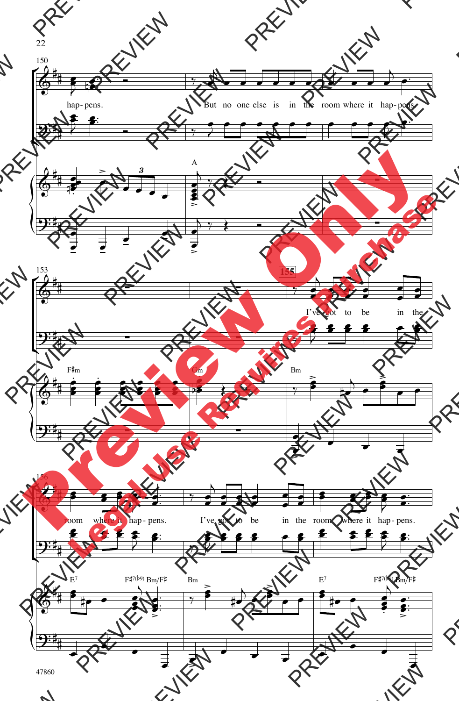![](_page_20_Figure_0.jpeg)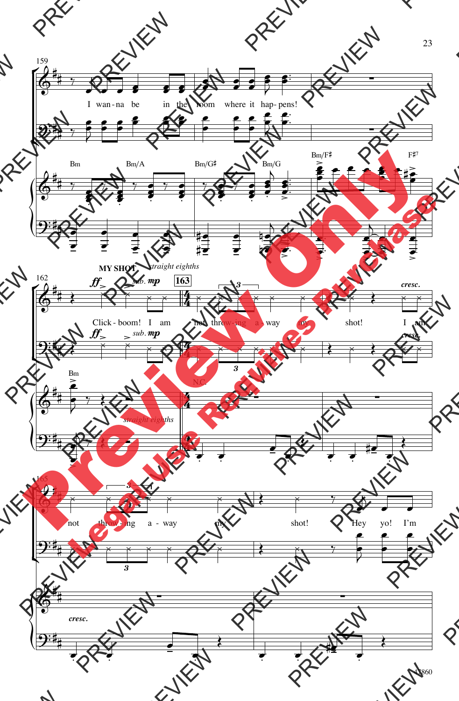![](_page_21_Figure_0.jpeg)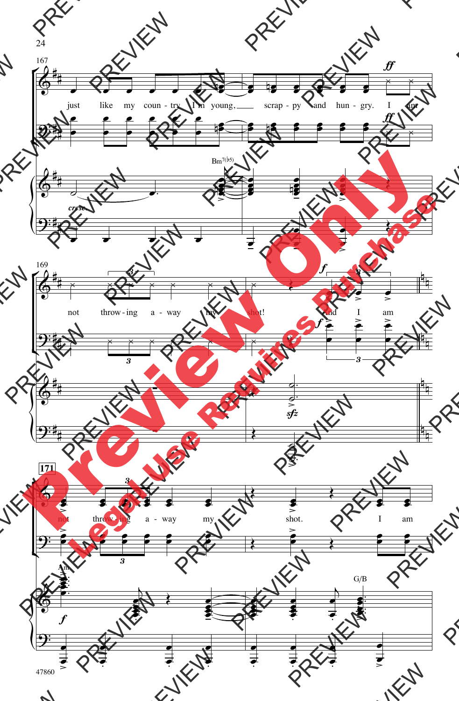![](_page_22_Figure_0.jpeg)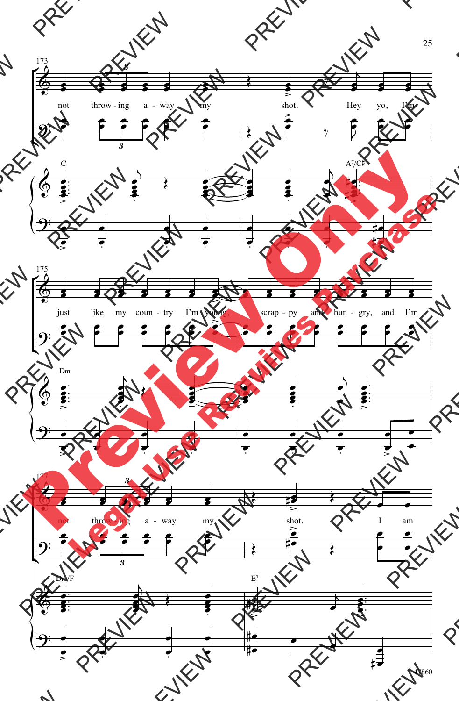![](_page_23_Figure_0.jpeg)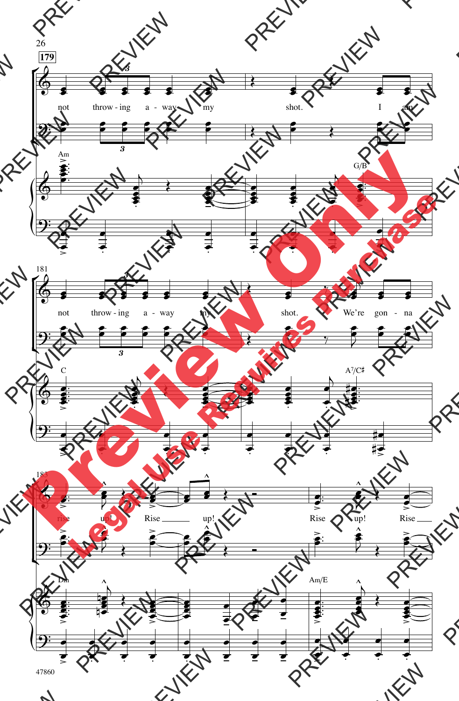![](_page_24_Figure_0.jpeg)

<sup>47860</sup>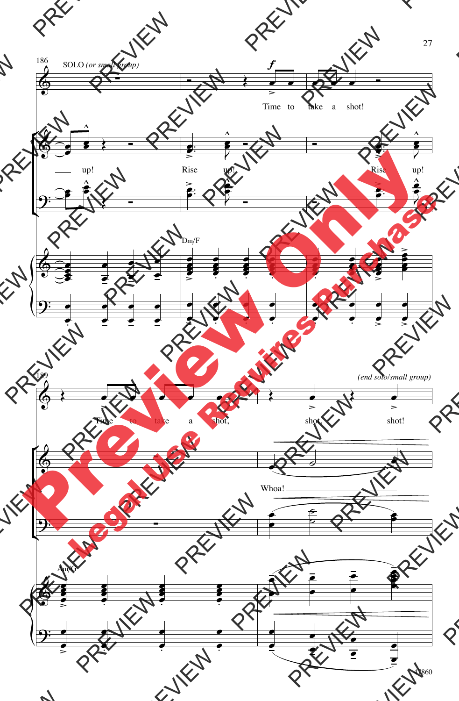![](_page_25_Figure_0.jpeg)